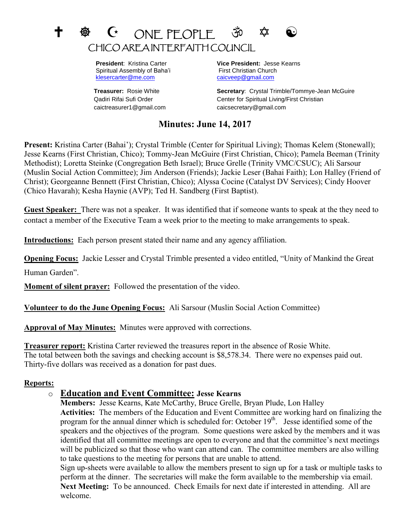# $\mathbf t$   $\mathbf \Phi$   $\mathbf C$  on fpcpif  $\mathbf \Phi$   $\mathbf \Phi$ CHICO AREA INTERFAITH COUNCIL

Spiritual Assembly of Baha'i First Christian Church [klesercarter@me.com](mailto:klesercarter@me.com) [caicveep@gmail.com](mailto:caicveep@gmail.com)

caictreasurer1@gmail.com caicsecretary@gmail.com

 **President**: Kristina Carter **Vice President:** Jesse Kearns

**Treasurer:** Rosie White **Secretary**: Crystal Trimble/Tommye-Jean McGuire Qadiri Rifai Sufi Order Center for Spiritual Living/First Christian

## **Minutes: June 14, 2017**

**Present:** Kristina Carter (Bahai'); Crystal Trimble (Center for Spiritual Living); Thomas Kelem (Stonewall); Jesse Kearns (First Christian, Chico); Tommy-Jean McGuire (First Christian, Chico); Pamela Beeman (Trinity Methodist); Loretta Steinke (Congregation Beth Israel); Bruce Grelle (Trinity VMC/CSUC); Ali Sarsour (Muslin Social Action Committee); Jim Anderson (Friends); Jackie Leser (Bahai Faith); Lon Halley (Friend of Christ); Georgeanne Bennett (First Christian, Chico); Alyssa Cocine (Catalyst DV Services); Cindy Hoover (Chico Havarah); Kesha Haynie (AVP); Ted H. Sandberg (First Baptist).

**Guest Speaker:** There was not a speaker. It was identified that if someone wants to speak at the they need to contact a member of the Executive Team a week prior to the meeting to make arrangements to speak.

**Introductions:** Each person present stated their name and any agency affiliation.

**Opening Focus:** Jackie Lesser and Crystal Trimble presented a video entitled, "Unity of Mankind the Great Human Garden".

**Moment of silent prayer:** Followed the presentation of the video.

**Volunteer to do the June Opening Focus:** Ali Sarsour (Muslin Social Action Committee)

**Approval of May Minutes:** Minutes were approved with corrections.

**Treasurer report:** Kristina Carter reviewed the treasures report in the absence of Rosie White. The total between both the savings and checking account is \$8,578.34. There were no expenses paid out. Thirty-five dollars was received as a donation for past dues.

#### **Reports:**

## o **Education and Event Committee: Jesse Kearns**

**Members:** Jesse Kearns, Kate McCarthy, Bruce Grelle, Bryan Plude, Lon Halley **Activities:** The members of the Education and Event Committee are working hard on finalizing the program for the annual dinner which is scheduled for: October 19<sup>th</sup>. Jesse identified some of the speakers and the objectives of the program. Some questions were asked by the members and it was identified that all committee meetings are open to everyone and that the committee's next meetings will be publicized so that those who want can attend can. The committee members are also willing to take questions to the meeting for persons that are unable to attend.

Sign up-sheets were available to allow the members present to sign up for a task or multiple tasks to perform at the dinner. The secretaries will make the form available to the membership via email. **Next Meeting:** To be announced. Check Emails for next date if interested in attending. All are welcome.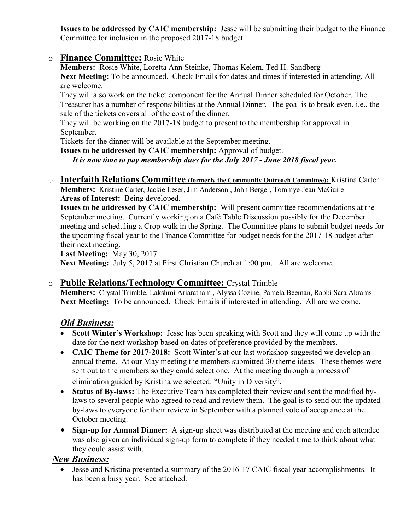**Issues to be addressed by CAIC membership:** Jesse will be submitting their budget to the Finance Committee for inclusion in the proposed 2017-18 budget.

### o **Finance Committee:** Rosie White

**Members:** Rosie White, Loretta Ann Steinke, Thomas Kelem, Ted H. Sandberg

**Next Meeting:** To be announced. Check Emails for dates and times if interested in attending. All are welcome.

They will also work on the ticket component for the Annual Dinner scheduled for October. The Treasurer has a number of responsibilities at the Annual Dinner. The goal is to break even, i.e., the sale of the tickets covers all of the cost of the dinner.

They will be working on the 2017-18 budget to present to the membership for approval in September.

Tickets for the dinner will be available at the September meeting.

**Issues to be addressed by CAIC membership:** Approval of budget. *It is now time to pay membership dues for the July 2017 - June 2018 fiscal year.*

o **Interfaith Relations Committee (formerly the Community Outreach Committee):** Kristina Carter **Members:** Kristine Carter, Jackie Leser, Jim Anderson , John Berger, Tommye-Jean McGuire **Areas of Interest:** Being developed.

**Issues to be addressed by CAIC membership:** Will present committee recommendations at the September meeting. Currently working on a Café Table Discussion possibly for the December meeting and scheduling a Crop walk in the Spring. The Committee plans to submit budget needs for the upcoming fiscal year to the Finance Committee for budget needs for the 2017-18 budget after their next meeting.

**Last Meeting:** May 30, 2017 **Next Meeting:** July 5, 2017 at First Christian Church at 1:00 pm. All are welcome.

#### o **Public Relations/Technology Committee:** Crystal Trimble

**Members:** Crystal Trimble, Lakshmi Ariaratnam , Alyssa Cozine, Pamela Beeman, Rabbi Sara Abrams **Next Meeting:** To be announced. Check Emails if interested in attending. All are welcome.

## *Old Business:*

- **Scott Winter's Workshop:** Jesse has been speaking with Scott and they will come up with the date for the next workshop based on dates of preference provided by the members.
- **CAIC Theme for 2017-2018:** Scott Winter's at our last workshop suggested we develop an annual theme. At our May meeting the members submitted 30 theme ideas. These themes were sent out to the members so they could select one. At the meeting through a process of elimination guided by Kristina we selected: "Unity in Diversity"*.*
- **Status of By-laws:** The Executive Team has completed their review and sent the modified bylaws to several people who agreed to read and review them. The goal is to send out the updated by-laws to everyone for their review in September with a planned vote of acceptance at the October meeting.
- **Sign-up for Annual Dinner:** A sign-up sheet was distributed at the meeting and each attendee was also given an individual sign-up form to complete if they needed time to think about what they could assist with.

## *New Business:*

 Jesse and Kristina presented a summary of the 2016-17 CAIC fiscal year accomplishments. It has been a busy year. See attached.